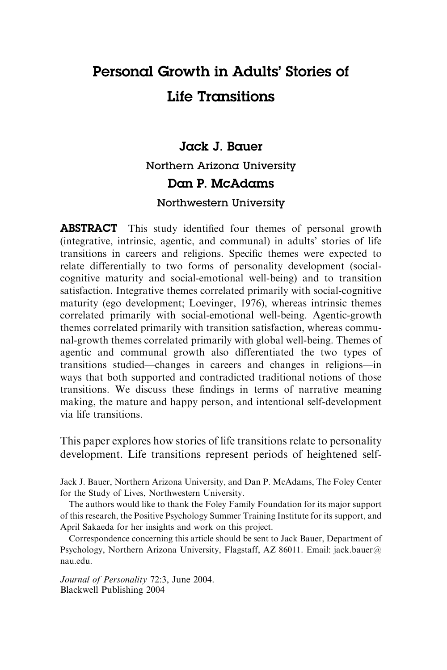# Personal Growth in Adults' Stories of Life Transitions

## Jack J. Bauer Northern Arizona University Dan P. McAdams Northwestern University

**ABSTRACT** This study identified four themes of personal growth (integrative, intrinsic, agentic, and communal) in adults' stories of life transitions in careers and religions. Specific themes were expected to relate differentially to two forms of personality development (socialcognitive maturity and social-emotional well-being) and to transition satisfaction. Integrative themes correlated primarily with social-cognitive maturity (ego development; Loevinger, 1976), whereas intrinsic themes correlated primarily with social-emotional well-being. Agentic-growth themes correlated primarily with transition satisfaction, whereas communal-growth themes correlated primarily with global well-being. Themes of agentic and communal growth also differentiated the two types of transitions studied—changes in careers and changes in religions—in ways that both supported and contradicted traditional notions of those transitions. We discuss these findings in terms of narrative meaning making, the mature and happy person, and intentional self-development via life transitions.

This paper explores how stories of life transitions relate to personality development. Life transitions represent periods of heightened self-

Jack J. Bauer, Northern Arizona University, and Dan P. McAdams, The Foley Center for the Study of Lives, Northwestern University.

The authors would like to thank the Foley Family Foundation for its major support of this research, the Positive Psychology Summer Training Institute for its support, and April Sakaeda for her insights and work on this project.

Correspondence concerning this article should be sent to Jack Bauer, Department of Psychology, Northern Arizona University, Flagstaff, AZ 86011. Email: jack.bauer@ nau.edu.

Journal of Personality 72:3, June 2004. Blackwell Publishing 2004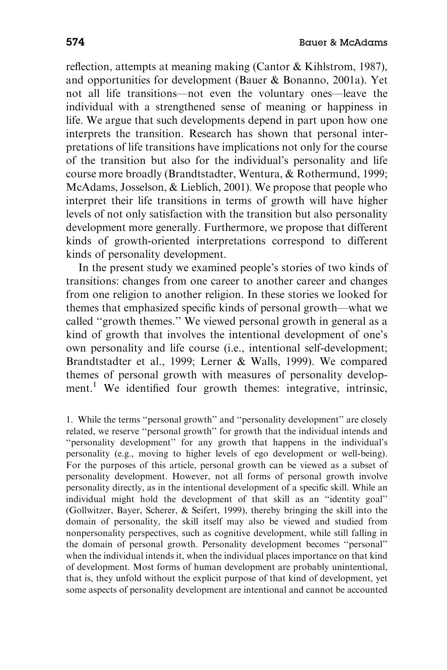reflection, attempts at meaning making (Cantor & Kihlstrom, 1987), and opportunities for development (Bauer & Bonanno, 2001a). Yet not all life transitions—not even the voluntary ones—leave the individual with a strengthened sense of meaning or happiness in life. We argue that such developments depend in part upon how one interprets the transition. Research has shown that personal interpretations of life transitions have implications not only for the course of the transition but also for the individual's personality and life course more broadly (Brandtstadter, Wentura, & Rothermund, 1999; McAdams, Josselson, & Lieblich, 2001). We propose that people who interpret their life transitions in terms of growth will have higher levels of not only satisfaction with the transition but also personality development more generally. Furthermore, we propose that different kinds of growth-oriented interpretations correspond to different kinds of personality development.

In the present study we examined people's stories of two kinds of transitions: changes from one career to another career and changes from one religion to another religion. In these stories we looked for themes that emphasized specific kinds of personal growth—what we called ''growth themes.'' We viewed personal growth in general as a kind of growth that involves the intentional development of one's own personality and life course (i.e., intentional self-development; Brandtstadter et al., 1999; Lerner & Walls, 1999). We compared themes of personal growth with measures of personality development.<sup>1</sup> We identified four growth themes: integrative, intrinsic,

1. While the terms ''personal growth'' and ''personality development'' are closely related, we reserve ''personal growth'' for growth that the individual intends and "personality development" for any growth that happens in the individual's personality (e.g., moving to higher levels of ego development or well-being). For the purposes of this article, personal growth can be viewed as a subset of personality development. However, not all forms of personal growth involve personality directly, as in the intentional development of a specific skill. While an individual might hold the development of that skill as an ''identity goal'' (Gollwitzer, Bayer, Scherer, & Seifert, 1999), thereby bringing the skill into the domain of personality, the skill itself may also be viewed and studied from nonpersonality perspectives, such as cognitive development, while still falling in the domain of personal growth. Personality development becomes ''personal'' when the individual intends it, when the individual places importance on that kind of development. Most forms of human development are probably unintentional, that is, they unfold without the explicit purpose of that kind of development, yet some aspects of personality development are intentional and cannot be accounted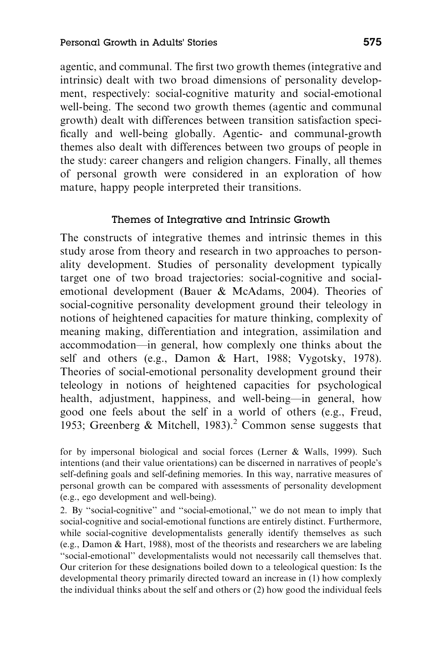agentic, and communal. The first two growth themes (integrative and intrinsic) dealt with two broad dimensions of personality development, respectively: social-cognitive maturity and social-emotional well-being. The second two growth themes (agentic and communal growth) dealt with differences between transition satisfaction specifically and well-being globally. Agentic- and communal-growth themes also dealt with differences between two groups of people in the study: career changers and religion changers. Finally, all themes of personal growth were considered in an exploration of how mature, happy people interpreted their transitions.

## Themes of Integrative and Intrinsic Growth

The constructs of integrative themes and intrinsic themes in this study arose from theory and research in two approaches to personality development. Studies of personality development typically target one of two broad trajectories: social-cognitive and socialemotional development (Bauer & McAdams, 2004). Theories of social-cognitive personality development ground their teleology in notions of heightened capacities for mature thinking, complexity of meaning making, differentiation and integration, assimilation and accommodation—in general, how complexly one thinks about the self and others (e.g., Damon & Hart, 1988; Vygotsky, 1978). Theories of social-emotional personality development ground their teleology in notions of heightened capacities for psychological health, adjustment, happiness, and well-being—in general, how good one feels about the self in a world of others (e.g., Freud, 1953; Greenberg & Mitchell, 1983).<sup>2</sup> Common sense suggests that

for by impersonal biological and social forces (Lerner & Walls, 1999). Such intentions (and their value orientations) can be discerned in narratives of people's self-defining goals and self-defining memories. In this way, narrative measures of personal growth can be compared with assessments of personality development (e.g., ego development and well-being).

2. By ''social-cognitive'' and ''social-emotional,'' we do not mean to imply that social-cognitive and social-emotional functions are entirely distinct. Furthermore, while social-cognitive developmentalists generally identify themselves as such (e.g., Damon & Hart, 1988), most of the theorists and researchers we are labeling ''social-emotional'' developmentalists would not necessarily call themselves that. Our criterion for these designations boiled down to a teleological question: Is the developmental theory primarily directed toward an increase in (1) how complexly the individual thinks about the self and others or (2) how good the individual feels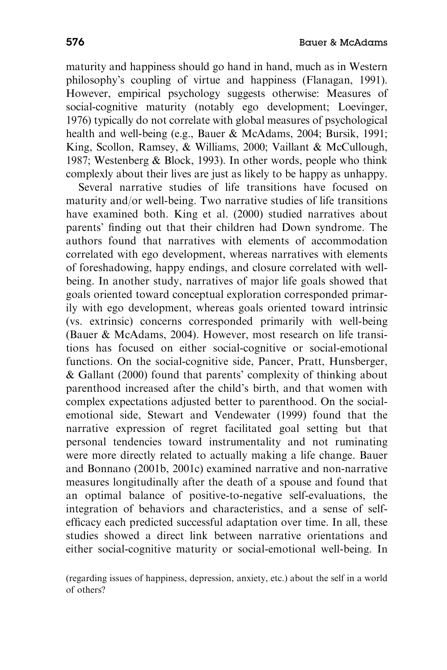maturity and happiness should go hand in hand, much as in Western philosophy's coupling of virtue and happiness (Flanagan, 1991). However, empirical psychology suggests otherwise: Measures of social-cognitive maturity (notably ego development; Loevinger, 1976) typically do not correlate with global measures of psychological health and well-being (e.g., Bauer & McAdams, 2004; Bursik, 1991; King, Scollon, Ramsey, & Williams, 2000; Vaillant & McCullough, 1987; Westenberg & Block, 1993). In other words, people who think complexly about their lives are just as likely to be happy as unhappy.

Several narrative studies of life transitions have focused on maturity and/or well-being. Two narrative studies of life transitions have examined both. King et al. (2000) studied narratives about parents' finding out that their children had Down syndrome. The authors found that narratives with elements of accommodation correlated with ego development, whereas narratives with elements of foreshadowing, happy endings, and closure correlated with wellbeing. In another study, narratives of major life goals showed that goals oriented toward conceptual exploration corresponded primarily with ego development, whereas goals oriented toward intrinsic (vs. extrinsic) concerns corresponded primarily with well-being (Bauer & McAdams, 2004). However, most research on life transitions has focused on either social-cognitive or social-emotional functions. On the social-cognitive side, Pancer, Pratt, Hunsberger, & Gallant (2000) found that parents' complexity of thinking about parenthood increased after the child's birth, and that women with complex expectations adjusted better to parenthood. On the socialemotional side, Stewart and Vendewater (1999) found that the narrative expression of regret facilitated goal setting but that personal tendencies toward instrumentality and not ruminating were more directly related to actually making a life change. Bauer and Bonnano (2001b, 2001c) examined narrative and non-narrative measures longitudinally after the death of a spouse and found that an optimal balance of positive-to-negative self-evaluations, the integration of behaviors and characteristics, and a sense of selfefficacy each predicted successful adaptation over time. In all, these studies showed a direct link between narrative orientations and either social-cognitive maturity or social-emotional well-being. In

(regarding issues of happiness, depression, anxiety, etc.) about the self in a world of others?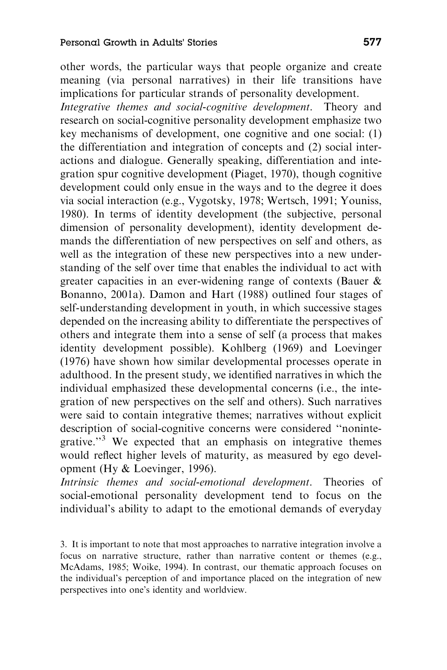other words, the particular ways that people organize and create meaning (via personal narratives) in their life transitions have implications for particular strands of personality development.

Integrative themes and social-cognitive development. Theory and research on social-cognitive personality development emphasize two key mechanisms of development, one cognitive and one social: (1) the differentiation and integration of concepts and (2) social interactions and dialogue. Generally speaking, differentiation and integration spur cognitive development (Piaget, 1970), though cognitive development could only ensue in the ways and to the degree it does via social interaction (e.g., Vygotsky, 1978; Wertsch, 1991; Youniss, 1980). In terms of identity development (the subjective, personal dimension of personality development), identity development demands the differentiation of new perspectives on self and others, as well as the integration of these new perspectives into a new understanding of the self over time that enables the individual to act with greater capacities in an ever-widening range of contexts (Bauer & Bonanno, 2001a). Damon and Hart (1988) outlined four stages of self-understanding development in youth, in which successive stages depended on the increasing ability to differentiate the perspectives of others and integrate them into a sense of self (a process that makes identity development possible). Kohlberg (1969) and Loevinger (1976) have shown how similar developmental processes operate in adulthood. In the present study, we identified narratives in which the individual emphasized these developmental concerns (i.e., the integration of new perspectives on the self and others). Such narratives were said to contain integrative themes; narratives without explicit description of social-cognitive concerns were considered ''nonintegrative."<sup>3</sup> We expected that an emphasis on integrative themes would reflect higher levels of maturity, as measured by ego development (Hy & Loevinger, 1996).

Intrinsic themes and social-emotional development. Theories of social-emotional personality development tend to focus on the individual's ability to adapt to the emotional demands of everyday

<sup>3.</sup> It is important to note that most approaches to narrative integration involve a focus on narrative structure, rather than narrative content or themes (e.g., McAdams, 1985; Woike, 1994). In contrast, our thematic approach focuses on the individual's perception of and importance placed on the integration of new perspectives into one's identity and worldview.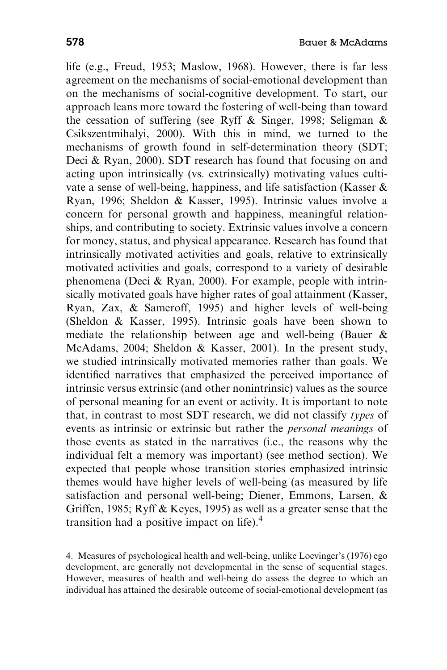life (e.g., Freud, 1953; Maslow, 1968). However, there is far less agreement on the mechanisms of social-emotional development than on the mechanisms of social-cognitive development. To start, our approach leans more toward the fostering of well-being than toward the cessation of suffering (see Ryff & Singer, 1998; Seligman & Csikszentmihalyi, 2000). With this in mind, we turned to the mechanisms of growth found in self-determination theory (SDT; Deci & Ryan, 2000). SDT research has found that focusing on and acting upon intrinsically (vs. extrinsically) motivating values cultivate a sense of well-being, happiness, and life satisfaction (Kasser & Ryan, 1996; Sheldon & Kasser, 1995). Intrinsic values involve a concern for personal growth and happiness, meaningful relationships, and contributing to society. Extrinsic values involve a concern for money, status, and physical appearance. Research has found that intrinsically motivated activities and goals, relative to extrinsically motivated activities and goals, correspond to a variety of desirable phenomena (Deci & Ryan, 2000). For example, people with intrinsically motivated goals have higher rates of goal attainment (Kasser, Ryan, Zax, & Sameroff, 1995) and higher levels of well-being (Sheldon & Kasser, 1995). Intrinsic goals have been shown to mediate the relationship between age and well-being (Bauer & McAdams, 2004; Sheldon & Kasser, 2001). In the present study, we studied intrinsically motivated memories rather than goals. We identified narratives that emphasized the perceived importance of intrinsic versus extrinsic (and other nonintrinsic) values as the source of personal meaning for an event or activity. It is important to note that, in contrast to most SDT research, we did not classify types of events as intrinsic or extrinsic but rather the personal meanings of those events as stated in the narratives (i.e., the reasons why the individual felt a memory was important) (see method section). We expected that people whose transition stories emphasized intrinsic themes would have higher levels of well-being (as measured by life satisfaction and personal well-being; Diener, Emmons, Larsen, & Griffen, 1985; Ryff & Keyes, 1995) as well as a greater sense that the transition had a positive impact on life). $4$ 

4. Measures of psychological health and well-being, unlike Loevinger's (1976) ego development, are generally not developmental in the sense of sequential stages. However, measures of health and well-being do assess the degree to which an individual has attained the desirable outcome of social-emotional development (as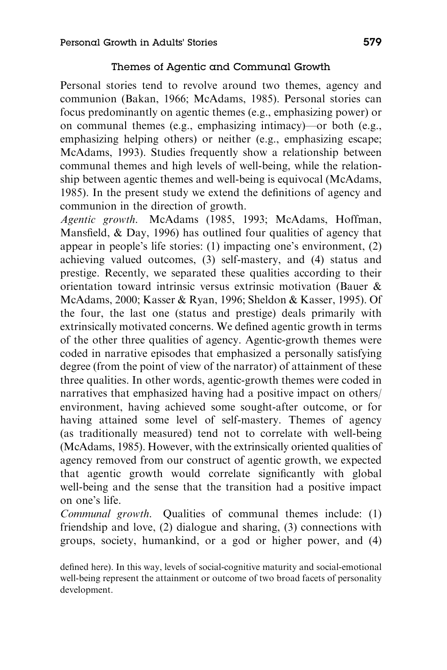## Themes of Agentic and Communal Growth

Personal stories tend to revolve around two themes, agency and communion (Bakan, 1966; McAdams, 1985). Personal stories can focus predominantly on agentic themes (e.g., emphasizing power) or on communal themes (e.g., emphasizing intimacy)—or both (e.g., emphasizing helping others) or neither (e.g., emphasizing escape; McAdams, 1993). Studies frequently show a relationship between communal themes and high levels of well-being, while the relationship between agentic themes and well-being is equivocal (McAdams, 1985). In the present study we extend the definitions of agency and communion in the direction of growth.

Agentic growth. McAdams (1985, 1993; McAdams, Hoffman, Mansfield, & Day, 1996) has outlined four qualities of agency that appear in people's life stories: (1) impacting one's environment, (2) achieving valued outcomes, (3) self-mastery, and (4) status and prestige. Recently, we separated these qualities according to their orientation toward intrinsic versus extrinsic motivation (Bauer & McAdams, 2000; Kasser & Ryan, 1996; Sheldon & Kasser, 1995). Of the four, the last one (status and prestige) deals primarily with extrinsically motivated concerns. We defined agentic growth in terms of the other three qualities of agency. Agentic-growth themes were coded in narrative episodes that emphasized a personally satisfying degree (from the point of view of the narrator) of attainment of these three qualities. In other words, agentic-growth themes were coded in narratives that emphasized having had a positive impact on others/ environment, having achieved some sought-after outcome, or for having attained some level of self-mastery. Themes of agency (as traditionally measured) tend not to correlate with well-being (McAdams, 1985). However, with the extrinsically oriented qualities of agency removed from our construct of agentic growth, we expected that agentic growth would correlate significantly with global well-being and the sense that the transition had a positive impact on one's life.

Communal growth. Qualities of communal themes include: (1) friendship and love, (2) dialogue and sharing, (3) connections with groups, society, humankind, or a god or higher power, and (4)

defined here). In this way, levels of social-cognitive maturity and social-emotional well-being represent the attainment or outcome of two broad facets of personality development.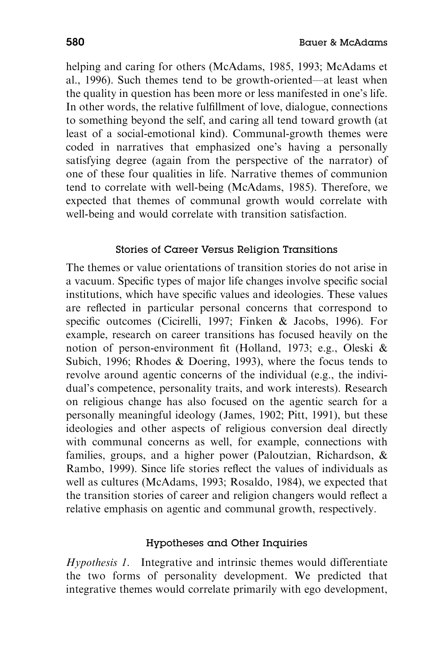helping and caring for others (McAdams, 1985, 1993; McAdams et al., 1996). Such themes tend to be growth-oriented—at least when the quality in question has been more or less manifested in one's life. In other words, the relative fulfillment of love, dialogue, connections to something beyond the self, and caring all tend toward growth (at least of a social-emotional kind). Communal-growth themes were coded in narratives that emphasized one's having a personally satisfying degree (again from the perspective of the narrator) of one of these four qualities in life. Narrative themes of communion tend to correlate with well-being (McAdams, 1985). Therefore, we expected that themes of communal growth would correlate with well-being and would correlate with transition satisfaction.

#### Stories of Career Versus Religion Transitions

The themes or value orientations of transition stories do not arise in a vacuum. Specific types of major life changes involve specific social institutions, which have specific values and ideologies. These values are reflected in particular personal concerns that correspond to specific outcomes (Cicirelli, 1997; Finken & Jacobs, 1996). For example, research on career transitions has focused heavily on the notion of person-environment fit (Holland, 1973; e.g., Oleski & Subich, 1996; Rhodes & Doering, 1993), where the focus tends to revolve around agentic concerns of the individual (e.g., the individual's competence, personality traits, and work interests). Research on religious change has also focused on the agentic search for a personally meaningful ideology (James, 1902; Pitt, 1991), but these ideologies and other aspects of religious conversion deal directly with communal concerns as well, for example, connections with families, groups, and a higher power (Paloutzian, Richardson, & Rambo, 1999). Since life stories reflect the values of individuals as well as cultures (McAdams, 1993; Rosaldo, 1984), we expected that the transition stories of career and religion changers would reflect a relative emphasis on agentic and communal growth, respectively.

#### Hypotheses and Other Inquiries

Hypothesis 1. Integrative and intrinsic themes would differentiate the two forms of personality development. We predicted that integrative themes would correlate primarily with ego development,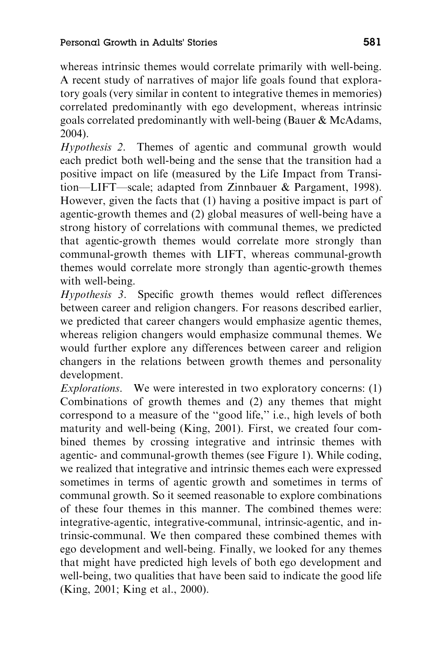whereas intrinsic themes would correlate primarily with well-being. A recent study of narratives of major life goals found that exploratory goals (very similar in content to integrative themes in memories) correlated predominantly with ego development, whereas intrinsic goals correlated predominantly with well-being (Bauer & McAdams, 2004).

Hypothesis 2. Themes of agentic and communal growth would each predict both well-being and the sense that the transition had a positive impact on life (measured by the Life Impact from Transition—LIFT—scale; adapted from Zinnbauer & Pargament, 1998). However, given the facts that (1) having a positive impact is part of agentic-growth themes and (2) global measures of well-being have a strong history of correlations with communal themes, we predicted that agentic-growth themes would correlate more strongly than communal-growth themes with LIFT, whereas communal-growth themes would correlate more strongly than agentic-growth themes with well-being.

Hypothesis 3. Specific growth themes would reflect differences between career and religion changers. For reasons described earlier, we predicted that career changers would emphasize agentic themes, whereas religion changers would emphasize communal themes. We would further explore any differences between career and religion changers in the relations between growth themes and personality development.

Explorations. We were interested in two exploratory concerns: (1) Combinations of growth themes and (2) any themes that might correspond to a measure of the ''good life,'' i.e., high levels of both maturity and well-being (King, 2001). First, we created four combined themes by crossing integrative and intrinsic themes with agentic- and communal-growth themes (see Figure 1). While coding, we realized that integrative and intrinsic themes each were expressed sometimes in terms of agentic growth and sometimes in terms of communal growth. So it seemed reasonable to explore combinations of these four themes in this manner. The combined themes were: integrative-agentic, integrative-communal, intrinsic-agentic, and intrinsic-communal. We then compared these combined themes with ego development and well-being. Finally, we looked for any themes that might have predicted high levels of both ego development and well-being, two qualities that have been said to indicate the good life (King, 2001; King et al., 2000).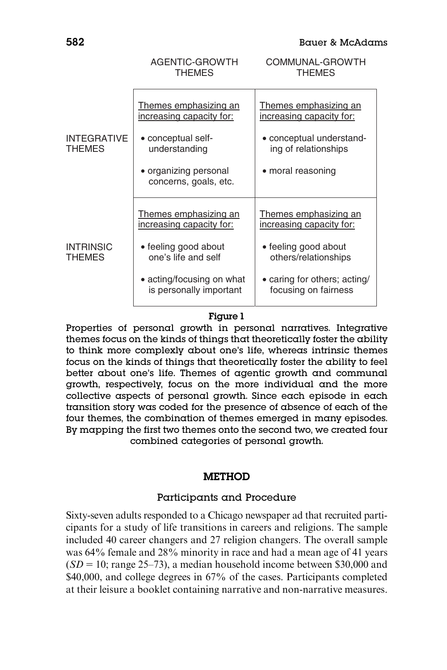|                                     | AGENTIC-GROWTH<br><b>THEMES</b>                      | COMMUNAL-GROWTH<br><b>THEMES</b>                     |  |  |
|-------------------------------------|------------------------------------------------------|------------------------------------------------------|--|--|
|                                     | Themes emphasizing an<br>increasing capacity for:    | Themes emphasizing an<br>increasing capacity for:    |  |  |
| <b>INTEGRATIVE</b><br><b>THEMES</b> | • conceptual self-<br>understanding                  | • conceptual understand-<br>ing of relationships     |  |  |
|                                     | • organizing personal<br>concerns, goals, etc.       | • moral reasoning                                    |  |  |
| <b>INTRINSIC</b><br><b>THEMES</b>   | Themes emphasizing an<br>increasing capacity for:    | Themes emphasizing an<br>increasing capacity for:    |  |  |
|                                     | • feeling good about<br>one's life and self          | • feeling good about<br>others/relationships         |  |  |
|                                     | • acting/focusing on what<br>is personally important | • caring for others; acting/<br>focusing on fairness |  |  |

#### Figure 1

Properties of personal growth in personal narratives. Integrative themes focus on the kinds of things that theoretically foster the ability to think more complexly about one's life, whereas intrinsic themes focus on the kinds of things that theoretically foster the ability to feel better about one's life. Themes of agentic growth and communal growth, respectively, focus on the more individual and the more collective aspects of personal growth. Since each episode in each transition story was coded for the presence of absence of each of the four themes, the combination of themes emerged in many episodes. By mapping the first two themes onto the second two, we created four combined categories of personal growth.

#### METHOD

#### Participants and Procedure

Sixty-seven adults responded to a Chicago newspaper ad that recruited participants for a study of life transitions in careers and religions. The sample included 40 career changers and 27 religion changers. The overall sample was 64% female and 28% minority in race and had a mean age of 41 years  $(SD = 10; \text{range } 25-73)$ , a median household income between \$30,000 and \$40,000, and college degrees in 67% of the cases. Participants completed at their leisure a booklet containing narrative and non-narrative measures.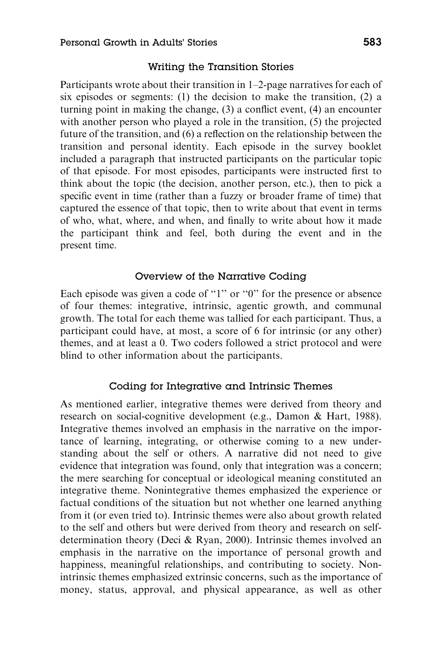#### Writing the Transition Stories

Participants wrote about their transition in 1–2-page narratives for each of six episodes or segments: (1) the decision to make the transition, (2) a turning point in making the change, (3) a conflict event, (4) an encounter with another person who played a role in the transition, (5) the projected future of the transition, and (6) a reflection on the relationship between the transition and personal identity. Each episode in the survey booklet included a paragraph that instructed participants on the particular topic of that episode. For most episodes, participants were instructed first to think about the topic (the decision, another person, etc.), then to pick a specific event in time (rather than a fuzzy or broader frame of time) that captured the essence of that topic, then to write about that event in terms of who, what, where, and when, and finally to write about how it made the participant think and feel, both during the event and in the present time.

#### Overview of the Narrative Coding

Each episode was given a code of "1" or "0" for the presence or absence of four themes: integrative, intrinsic, agentic growth, and communal growth. The total for each theme was tallied for each participant. Thus, a participant could have, at most, a score of 6 for intrinsic (or any other) themes, and at least a 0. Two coders followed a strict protocol and were blind to other information about the participants.

#### Coding for Integrative and Intrinsic Themes

As mentioned earlier, integrative themes were derived from theory and research on social-cognitive development (e.g., Damon & Hart, 1988). Integrative themes involved an emphasis in the narrative on the importance of learning, integrating, or otherwise coming to a new understanding about the self or others. A narrative did not need to give evidence that integration was found, only that integration was a concern; the mere searching for conceptual or ideological meaning constituted an integrative theme. Nonintegrative themes emphasized the experience or factual conditions of the situation but not whether one learned anything from it (or even tried to). Intrinsic themes were also about growth related to the self and others but were derived from theory and research on selfdetermination theory (Deci & Ryan, 2000). Intrinsic themes involved an emphasis in the narrative on the importance of personal growth and happiness, meaningful relationships, and contributing to society. Nonintrinsic themes emphasized extrinsic concerns, such as the importance of money, status, approval, and physical appearance, as well as other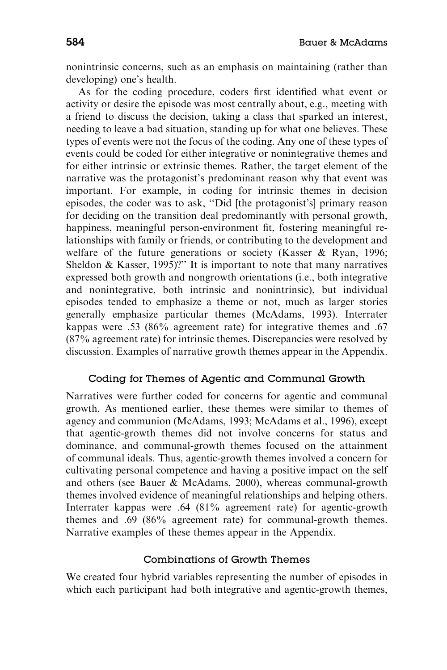nonintrinsic concerns, such as an emphasis on maintaining (rather than developing) one's health.

As for the coding procedure, coders first identified what event or activity or desire the episode was most centrally about, e.g., meeting with a friend to discuss the decision, taking a class that sparked an interest, needing to leave a bad situation, standing up for what one believes. These types of events were not the focus of the coding. Any one of these types of events could be coded for either integrative or nonintegrative themes and for either intrinsic or extrinsic themes. Rather, the target element of the narrative was the protagonist's predominant reason why that event was important. For example, in coding for intrinsic themes in decision episodes, the coder was to ask, ''Did [the protagonist's] primary reason for deciding on the transition deal predominantly with personal growth, happiness, meaningful person-environment fit, fostering meaningful relationships with family or friends, or contributing to the development and welfare of the future generations or society (Kasser & Ryan, 1996; Sheldon & Kasser, 1995)?'' It is important to note that many narratives expressed both growth and nongrowth orientations (i.e., both integrative and nonintegrative, both intrinsic and nonintrinsic), but individual episodes tended to emphasize a theme or not, much as larger stories generally emphasize particular themes (McAdams, 1993). Interrater kappas were .53 (86% agreement rate) for integrative themes and .67 (87% agreement rate) for intrinsic themes. Discrepancies were resolved by discussion. Examples of narrative growth themes appear in the Appendix.

#### Coding for Themes of Agentic and Communal Growth

Narratives were further coded for concerns for agentic and communal growth. As mentioned earlier, these themes were similar to themes of agency and communion (McAdams, 1993; McAdams et al., 1996), except that agentic-growth themes did not involve concerns for status and dominance, and communal-growth themes focused on the attainment of communal ideals. Thus, agentic-growth themes involved a concern for cultivating personal competence and having a positive impact on the self and others (see Bauer & McAdams, 2000), whereas communal-growth themes involved evidence of meaningful relationships and helping others. Interrater kappas were .64 (81% agreement rate) for agentic-growth themes and .69 (86% agreement rate) for communal-growth themes. Narrative examples of these themes appear in the Appendix.

#### Combinations of Growth Themes

We created four hybrid variables representing the number of episodes in which each participant had both integrative and agentic-growth themes,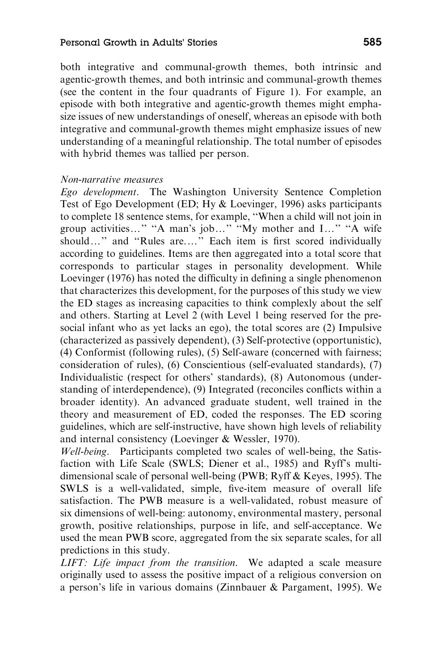both integrative and communal-growth themes, both intrinsic and agentic-growth themes, and both intrinsic and communal-growth themes (see the content in the four quadrants of Figure 1). For example, an episode with both integrative and agentic-growth themes might emphasize issues of new understandings of oneself, whereas an episode with both integrative and communal-growth themes might emphasize issues of new understanding of a meaningful relationship. The total number of episodes with hybrid themes was tallied per person.

#### Non-narrative measures

Ego development. The Washington University Sentence Completion Test of Ego Development (ED; Hy & Loevinger, 1996) asks participants to complete 18 sentence stems, for example, ''When a child will not join in group activities..." "A man's job..." "My mother and  $I_{\cdots}$ " "A wife should..." and "Rules are...." Each item is first scored individually according to guidelines. Items are then aggregated into a total score that corresponds to particular stages in personality development. While Loevinger (1976) has noted the difficulty in defining a single phenomenon that characterizes this development, for the purposes of this study we view the ED stages as increasing capacities to think complexly about the self and others. Starting at Level 2 (with Level 1 being reserved for the presocial infant who as yet lacks an ego), the total scores are (2) Impulsive (characterized as passively dependent), (3) Self-protective (opportunistic), (4) Conformist (following rules), (5) Self-aware (concerned with fairness; consideration of rules), (6) Conscientious (self-evaluated standards), (7) Individualistic (respect for others' standards), (8) Autonomous (understanding of interdependence), (9) Integrated (reconciles conflicts within a broader identity). An advanced graduate student, well trained in the theory and measurement of ED, coded the responses. The ED scoring guidelines, which are self-instructive, have shown high levels of reliability and internal consistency (Loevinger & Wessler, 1970).

Well-being. Participants completed two scales of well-being, the Satisfaction with Life Scale (SWLS; Diener et al., 1985) and Ryff's multidimensional scale of personal well-being (PWB; Ryff & Keyes, 1995). The SWLS is a well-validated, simple, five-item measure of overall life satisfaction. The PWB measure is a well-validated, robust measure of six dimensions of well-being: autonomy, environmental mastery, personal growth, positive relationships, purpose in life, and self-acceptance. We used the mean PWB score, aggregated from the six separate scales, for all predictions in this study.

LIFT: Life impact from the transition. We adapted a scale measure originally used to assess the positive impact of a religious conversion on a person's life in various domains (Zinnbauer & Pargament, 1995). We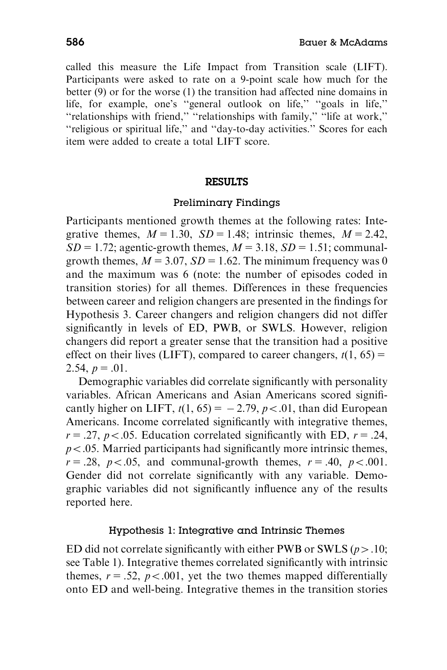called this measure the Life Impact from Transition scale (LIFT). Participants were asked to rate on a 9-point scale how much for the better (9) or for the worse (1) the transition had affected nine domains in life, for example, one's ''general outlook on life,'' ''goals in life,'' ''relationships with friend,'' ''relationships with family,'' ''life at work,'' ''religious or spiritual life,'' and ''day-to-day activities.'' Scores for each item were added to create a total LIFT score.

#### RESULTS

#### Preliminary Findings

Participants mentioned growth themes at the following rates: Integrative themes,  $M = 1.30$ ,  $SD = 1.48$ ; intrinsic themes,  $M = 2.42$ ,  $SD = 1.72$ ; agentic-growth themes,  $M = 3.18$ ,  $SD = 1.51$ ; communalgrowth themes,  $M = 3.07$ ,  $SD = 1.62$ . The minimum frequency was 0 and the maximum was 6 (note: the number of episodes coded in transition stories) for all themes. Differences in these frequencies between career and religion changers are presented in the findings for Hypothesis 3. Career changers and religion changers did not differ significantly in levels of ED, PWB, or SWLS. However, religion changers did report a greater sense that the transition had a positive effect on their lives (LIFT), compared to career changers,  $t(1, 65) =$ 2.54,  $p = .01$ .

Demographic variables did correlate significantly with personality variables. African Americans and Asian Americans scored significantly higher on LIFT,  $t(1, 65) = -2.79$ ,  $p < 0.01$ , than did European Americans. Income correlated significantly with integrative themes,  $r = .27$ ,  $p < .05$ . Education correlated significantly with ED,  $r = .24$ ,  $p<.05$ . Married participants had significantly more intrinsic themes,  $r = .28$ ,  $p < .05$ , and communal-growth themes,  $r = .40$ ,  $p < .001$ . Gender did not correlate significantly with any variable. Demographic variables did not significantly influence any of the results reported here.

#### Hypothesis 1: Integrative and Intrinsic Themes

ED did not correlate significantly with either PWB or SWLS ( $p > .10$ ; see Table 1). Integrative themes correlated significantly with intrinsic themes,  $r = .52$ ,  $p < .001$ , yet the two themes mapped differentially onto ED and well-being. Integrative themes in the transition stories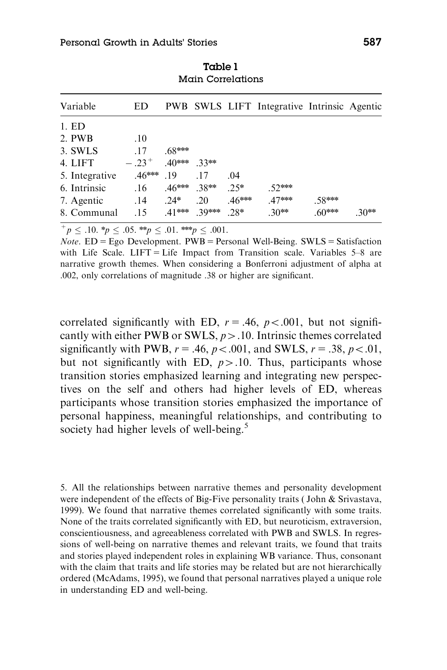| PWB SWLS LIFT Integrative Intrinsic Agentic |
|---------------------------------------------|
|                                             |
|                                             |
|                                             |
|                                             |
|                                             |
|                                             |
| $52***$                                     |
| $.47***$<br>.58***                          |
| $.30**$<br>$.60***$<br>$30**$               |
|                                             |

Table 1 Main Correlations

 ${}^{+}p \leq .10.$  \* $p \leq .05.$  \*\* $p \leq .01.$  \*\*\* $p \leq .001.$ 

*Note.*  $ED = Ego$  Development. PWB = Personal Well-Being. SWLS = Satisfaction with Life Scale. LIFT = Life Impact from Transition scale. Variables  $5-8$  are narrative growth themes. When considering a Bonferroni adjustment of alpha at .002, only correlations of magnitude .38 or higher are significant.

correlated significantly with ED,  $r = .46$ ,  $p < .001$ , but not significantly with either PWB or SWLS,  $p > .10$ . Intrinsic themes correlated significantly with PWB,  $r = .46$ ,  $p < .001$ , and SWLS,  $r = .38$ ,  $p < .01$ , but not significantly with ED,  $p > 10$ . Thus, participants whose transition stories emphasized learning and integrating new perspectives on the self and others had higher levels of ED, whereas participants whose transition stories emphasized the importance of personal happiness, meaningful relationships, and contributing to society had higher levels of well-being.<sup>5</sup>

5. All the relationships between narrative themes and personality development were independent of the effects of Big-Five personality traits (John & Srivastava, 1999). We found that narrative themes correlated significantly with some traits. None of the traits correlated significantly with ED, but neuroticism, extraversion, conscientiousness, and agreeableness correlated with PWB and SWLS. In regressions of well-being on narrative themes and relevant traits, we found that traits and stories played independent roles in explaining WB variance. Thus, consonant with the claim that traits and life stories may be related but are not hierarchically ordered (McAdams, 1995), we found that personal narratives played a unique role in understanding ED and well-being.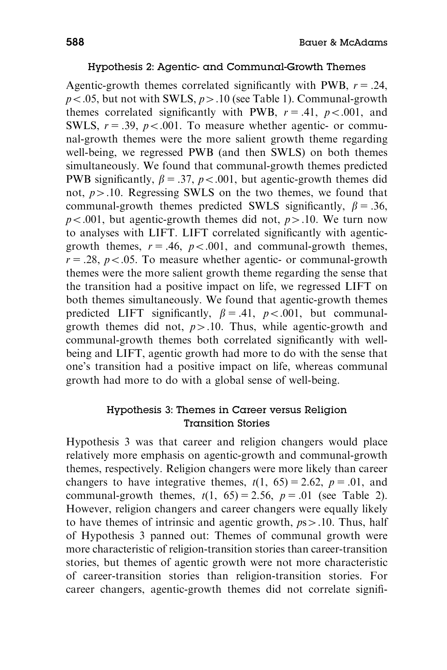#### Hypothesis 2: Agentic- and Communal-Growth Themes

Agentic-growth themes correlated significantly with PWB,  $r = .24$ ,  $p < .05$ , but not with SWLS,  $p > .10$  (see Table 1). Communal-growth themes correlated significantly with PWB,  $r = .41$ ,  $p < .001$ , and SWLS,  $r = .39$ ,  $p < .001$ . To measure whether agentic- or communal-growth themes were the more salient growth theme regarding well-being, we regressed PWB (and then SWLS) on both themes simultaneously. We found that communal-growth themes predicted PWB significantly,  $\beta = .37$ ,  $p < .001$ , but agentic-growth themes did not,  $p > 10$ . Regressing SWLS on the two themes, we found that communal-growth themes predicted SWLS significantly,  $\beta = .36$ ,  $p<.001$ , but agentic-growth themes did not,  $p>.10$ . We turn now to analyses with LIFT. LIFT correlated significantly with agenticgrowth themes,  $r = .46$ ,  $p < .001$ , and communal-growth themes,  $r = .28$ ,  $p < .05$ . To measure whether agentic- or communal-growth themes were the more salient growth theme regarding the sense that the transition had a positive impact on life, we regressed LIFT on both themes simultaneously. We found that agentic-growth themes predicted LIFT significantly,  $\beta = .41$ ,  $p < .001$ , but communalgrowth themes did not,  $p>10$ . Thus, while agentic-growth and communal-growth themes both correlated significantly with wellbeing and LIFT, agentic growth had more to do with the sense that one's transition had a positive impact on life, whereas communal growth had more to do with a global sense of well-being.

## Hypothesis 3: Themes in Career versus Religion Transition Stories

Hypothesis 3 was that career and religion changers would place relatively more emphasis on agentic-growth and communal-growth themes, respectively. Religion changers were more likely than career changers to have integrative themes,  $t(1, 65) = 2.62$ ,  $p = .01$ , and communal-growth themes,  $t(1, 65) = 2.56$ ,  $p = .01$  (see Table 2). However, religion changers and career changers were equally likely to have themes of intrinsic and agentic growth,  $ps > .10$ . Thus, half of Hypothesis 3 panned out: Themes of communal growth were more characteristic of religion-transition stories than career-transition stories, but themes of agentic growth were not more characteristic of career-transition stories than religion-transition stories. For career changers, agentic-growth themes did not correlate signifi-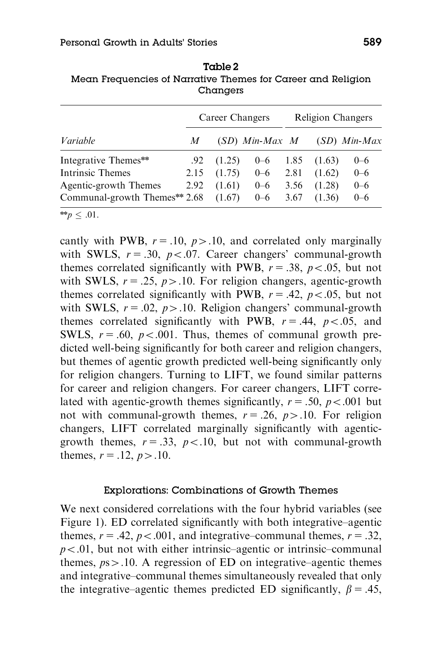|                                 | Career Changers |        |                  |      | <b>Religion Changers</b> |                |  |
|---------------------------------|-----------------|--------|------------------|------|--------------------------|----------------|--|
| Variable                        | M               |        | $(SD)$ Min-Max M |      |                          | $(SD)$ Min-Max |  |
| Integrative Themes**            | .92             | (1.25) | $0 - 6$          | 1.85 | (1.63)                   | $0 - 6$        |  |
| Intrinsic Themes                | 2.15            | (1.75) | $0 - 6$          | 2.81 | (1.62)                   | $0 - 6$        |  |
| Agentic-growth Themes           | 2.92            | (1.61) | $0 - 6$          | 3.56 | (1.28)                   | $0 - 6$        |  |
| Communal-growth Themes** $2.68$ |                 | (1.67) | $0 - 6$          | 3.67 | (1.36)                   | $0 - 6$        |  |

Table 2 Mean Frequencies of Narrative Themes for Career and Religion Changers

\*\* $p \leq .01$ .

cantly with PWB,  $r = .10$ ,  $p > .10$ , and correlated only marginally with SWLS,  $r = .30$ ,  $p < .07$ . Career changers' communal-growth themes correlated significantly with PWB,  $r = .38$ ,  $p < .05$ , but not with SWLS,  $r = .25$ ,  $p > .10$ . For religion changers, agentic-growth themes correlated significantly with PWB,  $r = .42$ ,  $p < .05$ , but not with SWLS,  $r = .02$ ,  $p > .10$ . Religion changers' communal-growth themes correlated significantly with PWB,  $r = .44$ ,  $p < .05$ , and SWLS,  $r = .60$ ,  $p < .001$ . Thus, themes of communal growth predicted well-being significantly for both career and religion changers, but themes of agentic growth predicted well-being significantly only for religion changers. Turning to LIFT, we found similar patterns for career and religion changers. For career changers, LIFT correlated with agentic-growth themes significantly,  $r = .50$ ,  $p < .001$  but not with communal-growth themes,  $r = .26$ ,  $p > .10$ . For religion changers, LIFT correlated marginally significantly with agenticgrowth themes,  $r = .33$ ,  $p < .10$ , but not with communal-growth themes,  $r = .12$ ,  $p > .10$ .

#### Explorations: Combinations of Growth Themes

We next considered correlations with the four hybrid variables (see Figure 1). ED correlated significantly with both integrative–agentic themes,  $r = .42$ ,  $p < .001$ , and integrative–communal themes,  $r = .32$ ,  $p<.01$ , but not with either intrinsic–agentic or intrinsic–communal themes,  $ps > 10$ . A regression of ED on integrative–agentic themes and integrative–communal themes simultaneously revealed that only the integrative–agentic themes predicted ED significantly,  $\beta = .45$ ,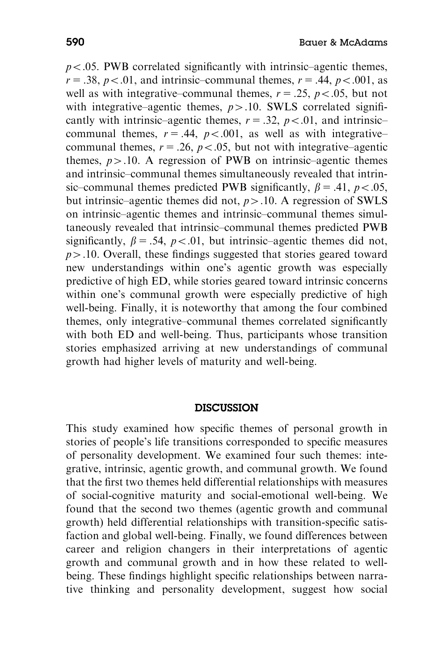$p<.05$ . PWB correlated significantly with intrinsic–agentic themes,  $r = .38$ ,  $p < .01$ , and intrinsic–communal themes,  $r = .44$ ,  $p < .001$ , as well as with integrative–communal themes,  $r = .25$ ,  $p < .05$ , but not with integrative–agentic themes,  $p > 10$ . SWLS correlated significantly with intrinsic–agentic themes,  $r = .32$ ,  $p < .01$ , and intrinsic– communal themes,  $r = .44$ ,  $p < .001$ , as well as with integrative– communal themes,  $r = .26$ ,  $p < .05$ , but not with integrative–agentic themes,  $p > 10$ . A regression of PWB on intrinsic–agentic themes and intrinsic–communal themes simultaneously revealed that intrinsic–communal themes predicted PWB significantly,  $\beta = .41$ ,  $p < .05$ , but intrinsic–agentic themes did not,  $p > 0.10$ . A regression of SWLS on intrinsic–agentic themes and intrinsic–communal themes simultaneously revealed that intrinsic–communal themes predicted PWB significantly,  $\beta = .54$ ,  $p < .01$ , but intrinsic–agentic themes did not,  $p>10$ . Overall, these findings suggested that stories geared toward new understandings within one's agentic growth was especially predictive of high ED, while stories geared toward intrinsic concerns within one's communal growth were especially predictive of high well-being. Finally, it is noteworthy that among the four combined themes, only integrative–communal themes correlated significantly with both ED and well-being. Thus, participants whose transition stories emphasized arriving at new understandings of communal growth had higher levels of maturity and well-being.

#### **DISCUSSION**

This study examined how specific themes of personal growth in stories of people's life transitions corresponded to specific measures of personality development. We examined four such themes: integrative, intrinsic, agentic growth, and communal growth. We found that the first two themes held differential relationships with measures of social-cognitive maturity and social-emotional well-being. We found that the second two themes (agentic growth and communal growth) held differential relationships with transition-specific satisfaction and global well-being. Finally, we found differences between career and religion changers in their interpretations of agentic growth and communal growth and in how these related to wellbeing. These findings highlight specific relationships between narrative thinking and personality development, suggest how social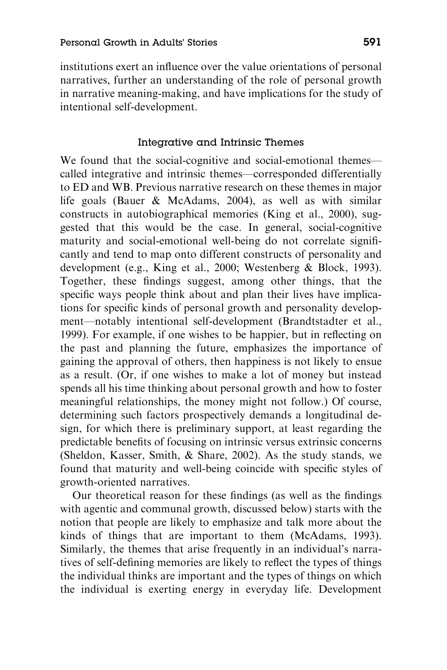institutions exert an influence over the value orientations of personal narratives, further an understanding of the role of personal growth in narrative meaning-making, and have implications for the study of intentional self-development.

### Integrative and Intrinsic Themes

We found that the social-cognitive and social-emotional themes called integrative and intrinsic themes—corresponded differentially to ED and WB. Previous narrative research on these themes in major life goals (Bauer & McAdams, 2004), as well as with similar constructs in autobiographical memories (King et al., 2000), suggested that this would be the case. In general, social-cognitive maturity and social-emotional well-being do not correlate significantly and tend to map onto different constructs of personality and development (e.g., King et al., 2000; Westenberg & Block, 1993). Together, these findings suggest, among other things, that the specific ways people think about and plan their lives have implications for specific kinds of personal growth and personality development—notably intentional self-development (Brandtstadter et al., 1999). For example, if one wishes to be happier, but in reflecting on the past and planning the future, emphasizes the importance of gaining the approval of others, then happiness is not likely to ensue as a result. (Or, if one wishes to make a lot of money but instead spends all his time thinking about personal growth and how to foster meaningful relationships, the money might not follow.) Of course, determining such factors prospectively demands a longitudinal design, for which there is preliminary support, at least regarding the predictable benefits of focusing on intrinsic versus extrinsic concerns (Sheldon, Kasser, Smith, & Share, 2002). As the study stands, we found that maturity and well-being coincide with specific styles of growth-oriented narratives.

Our theoretical reason for these findings (as well as the findings with agentic and communal growth, discussed below) starts with the notion that people are likely to emphasize and talk more about the kinds of things that are important to them (McAdams, 1993). Similarly, the themes that arise frequently in an individual's narratives of self-defining memories are likely to reflect the types of things the individual thinks are important and the types of things on which the individual is exerting energy in everyday life. Development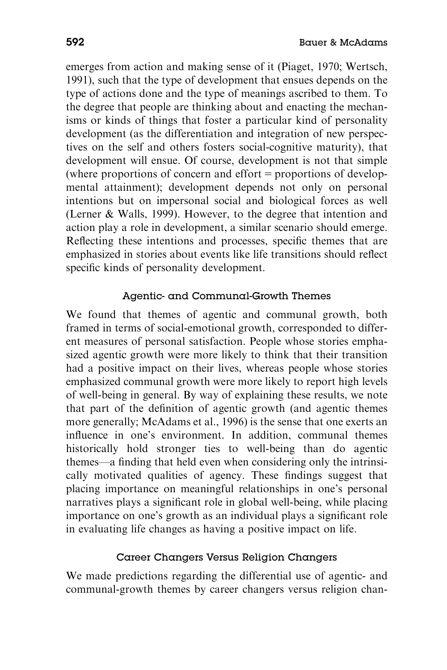emerges from action and making sense of it (Piaget, 1970; Wertsch, 1991), such that the type of development that ensues depends on the type of actions done and the type of meanings ascribed to them. To the degree that people are thinking about and enacting the mechanisms or kinds of things that foster a particular kind of personality development (as the differentiation and integration of new perspectives on the self and others fosters social-cognitive maturity), that development will ensue. Of course, development is not that simple (where proportions of concern and effort  $=$  proportions of developmental attainment); development depends not only on personal intentions but on impersonal social and biological forces as well (Lerner & Walls, 1999). However, to the degree that intention and action play a role in development, a similar scenario should emerge. Reflecting these intentions and processes, specific themes that are emphasized in stories about events like life transitions should reflect specific kinds of personality development.

## Agentic- and Communal-Growth Themes

We found that themes of agentic and communal growth, both framed in terms of social-emotional growth, corresponded to different measures of personal satisfaction. People whose stories emphasized agentic growth were more likely to think that their transition had a positive impact on their lives, whereas people whose stories emphasized communal growth were more likely to report high levels of well-being in general. By way of explaining these results, we note that part of the definition of agentic growth (and agentic themes more generally; McAdams et al., 1996) is the sense that one exerts an influence in one's environment. In addition, communal themes historically hold stronger ties to well-being than do agentic themes—a finding that held even when considering only the intrinsically motivated qualities of agency. These findings suggest that placing importance on meaningful relationships in one's personal narratives plays a significant role in global well-being, while placing importance on one's growth as an individual plays a significant role in evaluating life changes as having a positive impact on life.

## Career Changers Versus Religion Changers

We made predictions regarding the differential use of agentic- and communal-growth themes by career changers versus religion chan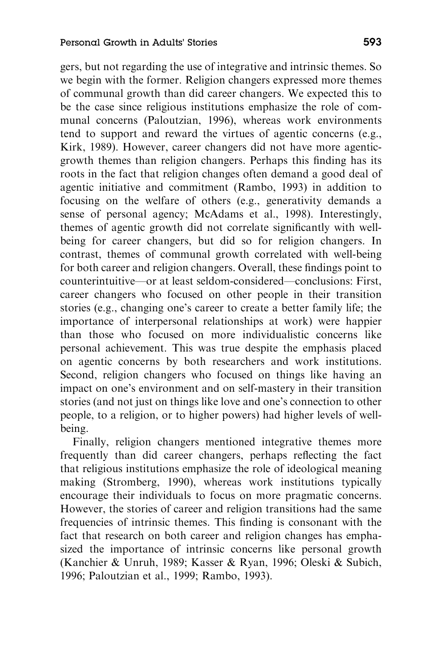gers, but not regarding the use of integrative and intrinsic themes. So we begin with the former. Religion changers expressed more themes of communal growth than did career changers. We expected this to be the case since religious institutions emphasize the role of communal concerns (Paloutzian, 1996), whereas work environments tend to support and reward the virtues of agentic concerns (e.g., Kirk, 1989). However, career changers did not have more agenticgrowth themes than religion changers. Perhaps this finding has its roots in the fact that religion changes often demand a good deal of agentic initiative and commitment (Rambo, 1993) in addition to focusing on the welfare of others (e.g., generativity demands a sense of personal agency; McAdams et al., 1998). Interestingly, themes of agentic growth did not correlate significantly with wellbeing for career changers, but did so for religion changers. In contrast, themes of communal growth correlated with well-being for both career and religion changers. Overall, these findings point to counterintuitive—or at least seldom-considered—conclusions: First, career changers who focused on other people in their transition stories (e.g., changing one's career to create a better family life; the importance of interpersonal relationships at work) were happier than those who focused on more individualistic concerns like personal achievement. This was true despite the emphasis placed on agentic concerns by both researchers and work institutions. Second, religion changers who focused on things like having an impact on one's environment and on self-mastery in their transition stories (and not just on things like love and one's connection to other people, to a religion, or to higher powers) had higher levels of wellbeing.

Finally, religion changers mentioned integrative themes more frequently than did career changers, perhaps reflecting the fact that religious institutions emphasize the role of ideological meaning making (Stromberg, 1990), whereas work institutions typically encourage their individuals to focus on more pragmatic concerns. However, the stories of career and religion transitions had the same frequencies of intrinsic themes. This finding is consonant with the fact that research on both career and religion changes has emphasized the importance of intrinsic concerns like personal growth (Kanchier & Unruh, 1989; Kasser & Ryan, 1996; Oleski & Subich, 1996; Paloutzian et al., 1999; Rambo, 1993).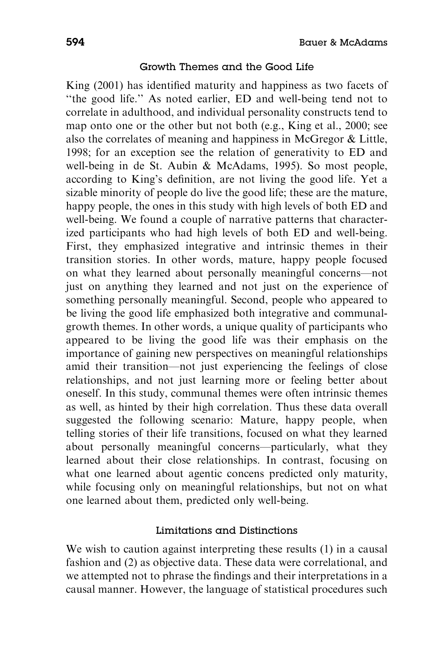#### Growth Themes and the Good Life

King (2001) has identified maturity and happiness as two facets of ''the good life.'' As noted earlier, ED and well-being tend not to correlate in adulthood, and individual personality constructs tend to map onto one or the other but not both (e.g., King et al., 2000; see also the correlates of meaning and happiness in McGregor & Little, 1998; for an exception see the relation of generativity to ED and well-being in de St. Aubin & McAdams, 1995). So most people, according to King's definition, are not living the good life. Yet a sizable minority of people do live the good life; these are the mature, happy people, the ones in this study with high levels of both ED and well-being. We found a couple of narrative patterns that characterized participants who had high levels of both ED and well-being. First, they emphasized integrative and intrinsic themes in their transition stories. In other words, mature, happy people focused on what they learned about personally meaningful concerns—not just on anything they learned and not just on the experience of something personally meaningful. Second, people who appeared to be living the good life emphasized both integrative and communalgrowth themes. In other words, a unique quality of participants who appeared to be living the good life was their emphasis on the importance of gaining new perspectives on meaningful relationships amid their transition—not just experiencing the feelings of close relationships, and not just learning more or feeling better about oneself. In this study, communal themes were often intrinsic themes as well, as hinted by their high correlation. Thus these data overall suggested the following scenario: Mature, happy people, when telling stories of their life transitions, focused on what they learned about personally meaningful concerns—particularly, what they learned about their close relationships. In contrast, focusing on what one learned about agentic concens predicted only maturity, while focusing only on meaningful relationships, but not on what one learned about them, predicted only well-being.

#### Limitations and Distinctions

We wish to caution against interpreting these results (1) in a causal fashion and (2) as objective data. These data were correlational, and we attempted not to phrase the findings and their interpretations in a causal manner. However, the language of statistical procedures such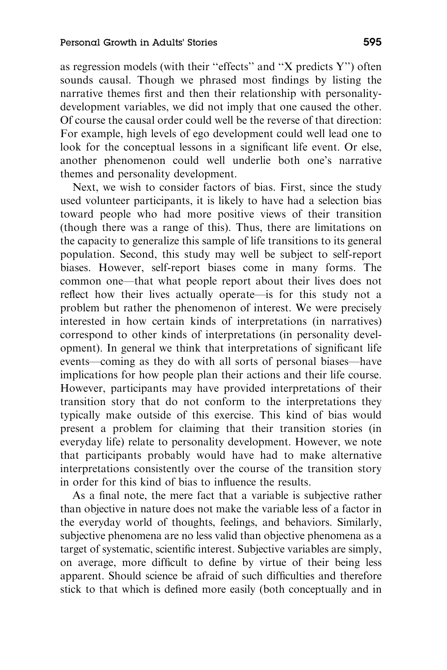as regression models (with their ''effects'' and ''X predicts Y'') often sounds causal. Though we phrased most findings by listing the narrative themes first and then their relationship with personalitydevelopment variables, we did not imply that one caused the other. Of course the causal order could well be the reverse of that direction: For example, high levels of ego development could well lead one to look for the conceptual lessons in a significant life event. Or else, another phenomenon could well underlie both one's narrative themes and personality development.

Next, we wish to consider factors of bias. First, since the study used volunteer participants, it is likely to have had a selection bias toward people who had more positive views of their transition (though there was a range of this). Thus, there are limitations on the capacity to generalize this sample of life transitions to its general population. Second, this study may well be subject to self-report biases. However, self-report biases come in many forms. The common one—that what people report about their lives does not reflect how their lives actually operate—is for this study not a problem but rather the phenomenon of interest. We were precisely interested in how certain kinds of interpretations (in narratives) correspond to other kinds of interpretations (in personality development). In general we think that interpretations of significant life events—coming as they do with all sorts of personal biases—have implications for how people plan their actions and their life course. However, participants may have provided interpretations of their transition story that do not conform to the interpretations they typically make outside of this exercise. This kind of bias would present a problem for claiming that their transition stories (in everyday life) relate to personality development. However, we note that participants probably would have had to make alternative interpretations consistently over the course of the transition story in order for this kind of bias to influence the results.

As a final note, the mere fact that a variable is subjective rather than objective in nature does not make the variable less of a factor in the everyday world of thoughts, feelings, and behaviors. Similarly, subjective phenomena are no less valid than objective phenomena as a target of systematic, scientific interest. Subjective variables are simply, on average, more difficult to define by virtue of their being less apparent. Should science be afraid of such difficulties and therefore stick to that which is defined more easily (both conceptually and in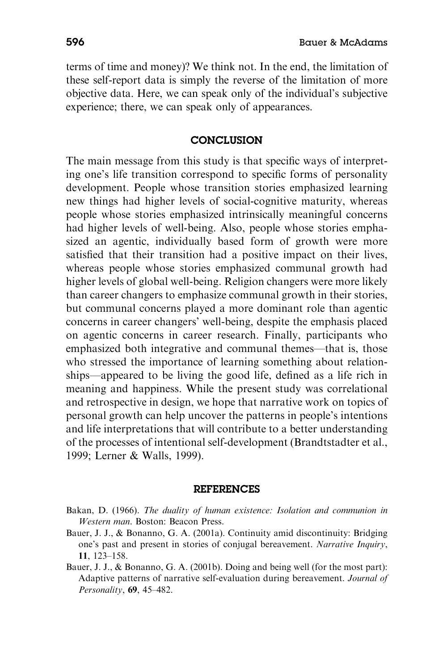terms of time and money)? We think not. In the end, the limitation of these self-report data is simply the reverse of the limitation of more objective data. Here, we can speak only of the individual's subjective experience; there, we can speak only of appearances.

#### **CONCLUSION**

The main message from this study is that specific ways of interpreting one's life transition correspond to specific forms of personality development. People whose transition stories emphasized learning new things had higher levels of social-cognitive maturity, whereas people whose stories emphasized intrinsically meaningful concerns had higher levels of well-being. Also, people whose stories emphasized an agentic, individually based form of growth were more satisfied that their transition had a positive impact on their lives, whereas people whose stories emphasized communal growth had higher levels of global well-being. Religion changers were more likely than career changers to emphasize communal growth in their stories, but communal concerns played a more dominant role than agentic concerns in career changers' well-being, despite the emphasis placed on agentic concerns in career research. Finally, participants who emphasized both integrative and communal themes—that is, those who stressed the importance of learning something about relationships—appeared to be living the good life, defined as a life rich in meaning and happiness. While the present study was correlational and retrospective in design, we hope that narrative work on topics of personal growth can help uncover the patterns in people's intentions and life interpretations that will contribute to a better understanding of the processes of intentional self-development (Brandtstadter et al., 1999; Lerner & Walls, 1999).

#### REFERENCES

- Bakan, D. (1966). The duality of human existence: Isolation and communion in Western man. Boston: Beacon Press.
- Bauer, J. J., & Bonanno, G. A. (2001a). Continuity amid discontinuity: Bridging one's past and present in stories of conjugal bereavement. Narrative Inquiry, 11, 123–158.
- Bauer, J. J., & Bonanno, G. A. (2001b). Doing and being well (for the most part): Adaptive patterns of narrative self-evaluation during bereavement. Journal of Personality, 69, 45-482.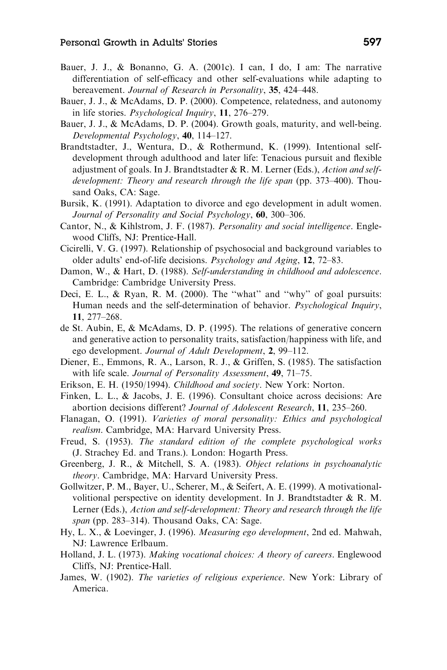#### Personal Growth in Adults' Stories 597

- Bauer, J. J., & Bonanno, G. A. (2001c). I can, I do, I am: The narrative differentiation of self-efficacy and other self-evaluations while adapting to bereavement. Journal of Research in Personality, 35, 424-448.
- Bauer, J. J., & McAdams, D. P. (2000). Competence, relatedness, and autonomy in life stories. Psychological Inquiry, 11, 276-279.
- Bauer, J. J., & McAdams, D. P. (2004). Growth goals, maturity, and well-being. Developmental Psychology, 40, 114–127.
- Brandtstadter, J., Wentura, D., & Rothermund, K. (1999). Intentional selfdevelopment through adulthood and later life: Tenacious pursuit and flexible adjustment of goals. In J. Brandtstadter  $\& R. M.$  Lerner (Eds.), Action and selfdevelopment: Theory and research through the life span (pp. 373–400). Thousand Oaks, CA: Sage.
- Bursik, K. (1991). Adaptation to divorce and ego development in adult women. Journal of Personality and Social Psychology, 60, 300–306.
- Cantor, N., & Kihlstrom, J. F. (1987). Personality and social intelligence. Englewood Cliffs, NJ: Prentice-Hall.
- Cicirelli, V. G. (1997). Relationship of psychosocial and background variables to older adults' end-of-life decisions. Psychology and Aging, 12, 72–83.
- Damon, W., & Hart, D. (1988). Self-understanding in childhood and adolescence. Cambridge: Cambridge University Press.
- Deci, E. L., & Ryan, R. M. (2000). The ''what'' and ''why'' of goal pursuits: Human needs and the self-determination of behavior. Psychological Inquiry, 11, 277–268.
- de St. Aubin, E, & McAdams, D. P. (1995). The relations of generative concern and generative action to personality traits, satisfaction/happiness with life, and ego development. Journal of Adult Development, 2, 99–112.
- Diener, E., Emmons, R. A., Larson, R. J., & Griffen, S. (1985). The satisfaction with life scale. Journal of Personality Assessment, 49, 71–75.
- Erikson, E. H. (1950/1994). Childhood and society. New York: Norton.
- Finken, L. L., & Jacobs, J. E. (1996). Consultant choice across decisions: Are abortion decisions different? Journal of Adolescent Research, 11, 235-260.
- Flanagan, O. (1991). Varieties of moral personality: Ethics and psychological realism. Cambridge, MA: Harvard University Press.
- Freud, S. (1953). The standard edition of the complete psychological works (J. Strachey Ed. and Trans.). London: Hogarth Press.
- Greenberg, J. R., & Mitchell, S. A. (1983). Object relations in psychoanalytic theory. Cambridge, MA: Harvard University Press.
- Gollwitzer, P. M., Bayer, U., Scherer, M., & Seifert, A. E. (1999). A motivationalvolitional perspective on identity development. In J. Brandtstadter & R. M. Lerner (Eds.), Action and self-development: Theory and research through the life span (pp. 283–314). Thousand Oaks, CA: Sage.
- Hy, L. X., & Loevinger, J. (1996). Measuring ego development, 2nd ed. Mahwah, NJ: Lawrence Erlbaum.
- Holland, J. L. (1973). Making vocational choices: A theory of careers. Englewood Cliffs, NJ: Prentice-Hall.
- James, W. (1902). The varieties of religious experience. New York: Library of America.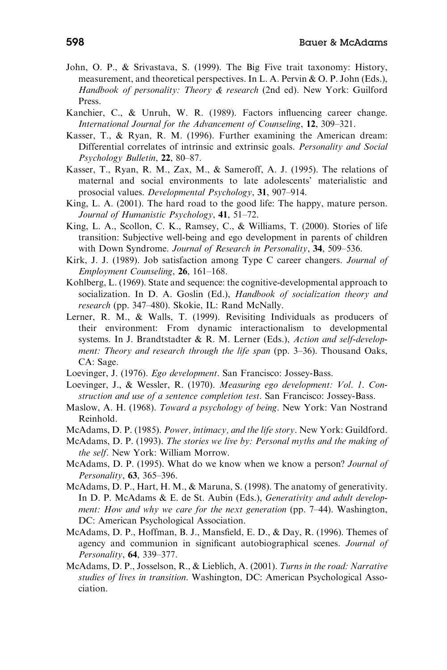- John, O. P., & Srivastava, S. (1999). The Big Five trait taxonomy: History, measurement, and theoretical perspectives. In L. A. Pervin & O. P. John (Eds.), Handbook of personality: Theory & research (2nd ed). New York: Guilford Press.
- Kanchier, C., & Unruh, W. R. (1989). Factors influencing career change. International Journal for the Advancement of Counseling, 12, 309–321.
- Kasser, T., & Ryan, R. M. (1996). Further examining the American dream: Differential correlates of intrinsic and extrinsic goals. Personality and Social Psychology Bulletin, 22, 80-87.
- Kasser, T., Ryan, R. M., Zax, M., & Sameroff, A. J. (1995). The relations of maternal and social environments to late adolescents' materialistic and prosocial values. Developmental Psychology, 31, 907–914.
- King, L. A. (2001). The hard road to the good life: The happy, mature person. Journal of Humanistic Psychology, 41, 51–72.
- King, L. A., Scollon, C. K., Ramsey, C., & Williams, T. (2000). Stories of life transition: Subjective well-being and ego development in parents of children with Down Syndrome. Journal of Research in Personality, 34, 509–536.
- Kirk, J. J. (1989). Job satisfaction among Type C career changers. Journal of Employment Counseling, 26, 161–168.
- Kohlberg, L. (1969). State and sequence: the cognitive-developmental approach to socialization. In D. A. Goslin (Ed.), Handbook of socialization theory and research (pp. 347–480). Skokie, IL: Rand McNally.
- Lerner, R. M., & Walls, T. (1999). Revisiting Individuals as producers of their environment: From dynamic interactionalism to developmental systems. In J. Brandtstadter & R. M. Lerner (Eds.), Action and self-development: Theory and research through the life span (pp. 3–36). Thousand Oaks, CA: Sage.
- Loevinger, J. (1976). Ego development. San Francisco: Jossey-Bass.
- Loevinger, J., & Wessler, R. (1970). Measuring ego development: Vol. 1. Construction and use of a sentence completion test. San Francisco: Jossey-Bass.
- Maslow, A. H. (1968). Toward a psychology of being. New York: Van Nostrand Reinhold.
- McAdams, D. P. (1985). Power, intimacy, and the life story. New York: Guildford.
- McAdams, D. P. (1993). The stories we live by: Personal myths and the making of the self. New York: William Morrow.
- McAdams, D. P. (1995). What do we know when we know a person? Journal of Personality,  $63$ ,  $365-396$ .
- McAdams, D. P., Hart, H. M., & Maruna, S. (1998). The anatomy of generativity. In D. P. McAdams & E. de St. Aubin (Eds.), Generativity and adult development: How and why we care for the next generation (pp. 7-44). Washington, DC: American Psychological Association.
- McAdams, D. P., Hoffman, B. J., Mansfield, E. D., & Day, R. (1996). Themes of agency and communion in significant autobiographical scenes. Journal of Personality, 64, 339–377.
- McAdams, D. P., Josselson, R., & Lieblich, A. (2001). Turns in the road: Narrative studies of lives in transition. Washington, DC: American Psychological Association.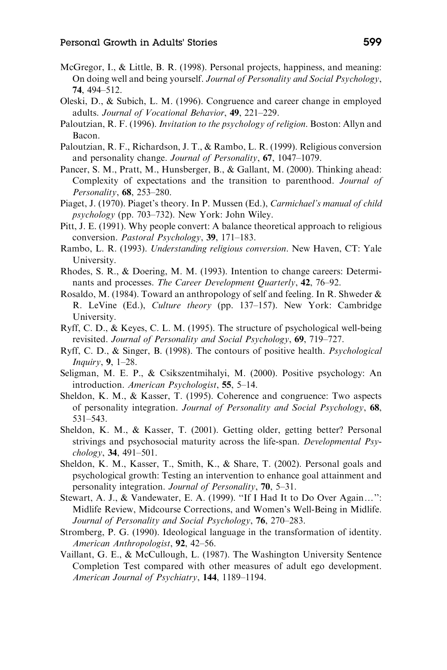- McGregor, I., & Little, B. R. (1998). Personal projects, happiness, and meaning: On doing well and being yourself. Journal of Personality and Social Psychology, 74, 494–512.
- Oleski, D., & Subich, L. M. (1996). Congruence and career change in employed adults. Journal of Vocational Behavior, 49, 221–229.
- Paloutzian, R. F. (1996). Invitation to the psychology of religion. Boston: Allyn and Bacon.
- Paloutzian, R. F., Richardson, J. T., & Rambo, L. R. (1999). Religious conversion and personality change. Journal of Personality, 67, 1047–1079.
- Pancer, S. M., Pratt, M., Hunsberger, B., & Gallant, M. (2000). Thinking ahead: Complexity of expectations and the transition to parenthood. Journal of Personality, 68, 253–280.
- Piaget, J. (1970). Piaget's theory. In P. Mussen (Ed.), Carmichael's manual of child psychology (pp. 703–732). New York: John Wiley.
- Pitt, J. E. (1991). Why people convert: A balance theoretical approach to religious conversion. Pastoral Psychology, 39, 171–183.
- Rambo, L. R. (1993). Understanding religious conversion. New Haven, CT: Yale University.
- Rhodes, S. R., & Doering, M. M. (1993). Intention to change careers: Determinants and processes. The Career Development Quarterly, 42, 76–92.
- Rosaldo, M. (1984). Toward an anthropology of self and feeling. In R. Shweder & R. LeVine (Ed.), Culture theory (pp. 137–157). New York: Cambridge University.
- Ryff, C. D., & Keyes, C. L. M. (1995). The structure of psychological well-being revisited. Journal of Personality and Social Psychology, 69, 719–727.
- Ryff, C. D., & Singer, B. (1998). The contours of positive health. Psychological Inquiry, 9, 1–28.
- Seligman, M. E. P., & Csikszentmihalyi, M. (2000). Positive psychology: An introduction. American Psychologist, 55, 5–14.
- Sheldon, K. M., & Kasser, T. (1995). Coherence and congruence: Two aspects of personality integration. Journal of Personality and Social Psychology, 68, 531–543.
- Sheldon, K. M., & Kasser, T. (2001). Getting older, getting better? Personal strivings and psychosocial maturity across the life-span. Developmental Psychology, 34, 491–501.
- Sheldon, K. M., Kasser, T., Smith, K., & Share, T. (2002). Personal goals and psychological growth: Testing an intervention to enhance goal attainment and personality integration. Journal of Personality, 70, 5–31.
- Stewart, A. J., & Vandewater, E. A. (1999). "If I Had It to Do Over Again...": Midlife Review, Midcourse Corrections, and Women's Well-Being in Midlife. Journal of Personality and Social Psychology, 76, 270–283.
- Stromberg, P. G. (1990). Ideological language in the transformation of identity. American Anthropologist, 92, 42–56.
- Vaillant, G. E., & McCullough, L. (1987). The Washington University Sentence Completion Test compared with other measures of adult ego development. American Journal of Psychiatry, 144, 1189-1194.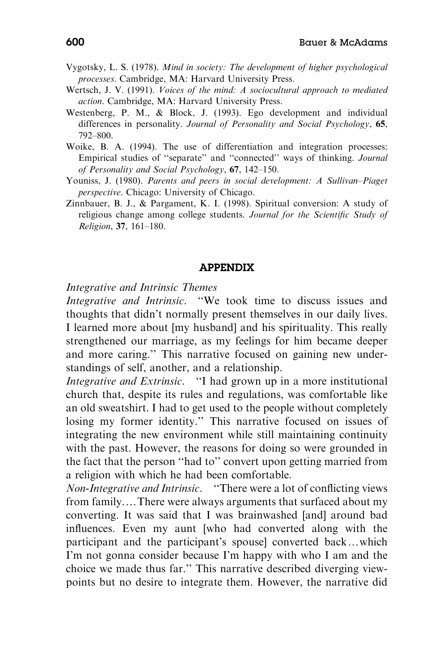- Vygotsky, L. S. (1978). Mind in society: The development of higher psychological processes. Cambridge, MA: Harvard University Press.
- Wertsch, J. V. (1991). Voices of the mind: A sociocultural approach to mediated action. Cambridge, MA: Harvard University Press.
- Westenberg, P. M., & Block, J. (1993). Ego development and individual differences in personality. Journal of Personality and Social Psychology, 65, 792–800.
- Woike, B. A. (1994). The use of differentiation and integration processes: Empirical studies of "separate" and "connected" ways of thinking. Journal of Personality and Social Psychology, 67, 142–150.
- Youniss, J. (1980). Parents and peers in social development: A Sullivan–Piaget perspective. Chicago: University of Chicago.
- Zinnbauer, B. J., & Pargament, K. I. (1998). Spiritual conversion: A study of religious change among college students. Journal for the Scientific Study of Religion, 37, 161–180.

#### APPENDIX

Integrative and Intrinsic Themes

Integrative and Intrinsic. ''We took time to discuss issues and thoughts that didn't normally present themselves in our daily lives. I learned more about [my husband] and his spirituality. This really strengthened our marriage, as my feelings for him became deeper and more caring.'' This narrative focused on gaining new understandings of self, another, and a relationship.

Integrative and Extrinsic. ''I had grown up in a more institutional church that, despite its rules and regulations, was comfortable like an old sweatshirt. I had to get used to the people without completely losing my former identity.'' This narrative focused on issues of integrating the new environment while still maintaining continuity with the past. However, the reasons for doing so were grounded in the fact that the person ''had to'' convert upon getting married from a religion with which he had been comfortable.

Non-Integrative and Intrinsic. ''There were a lot of conflicting views from family....There were always arguments that surfaced about my converting. It was said that I was brainwashed [and] around bad influences. Even my aunt [who had converted along with the participant and the participant's spousel converted back...which I'm not gonna consider because I'm happy with who I am and the choice we made thus far.'' This narrative described diverging viewpoints but no desire to integrate them. However, the narrative did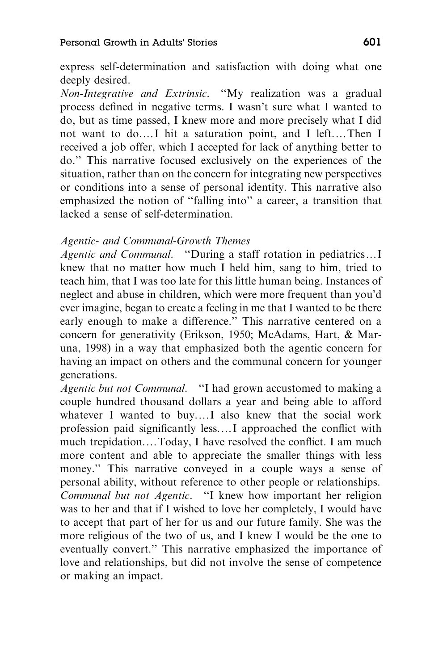express self-determination and satisfaction with doing what one deeply desired.

Non-Integrative and Extrinsic. ''My realization was a gradual process defined in negative terms. I wasn't sure what I wanted to do, but as time passed, I knew more and more precisely what I did not want to do....I hit a saturation point, and I left....Then I received a job offer, which I accepted for lack of anything better to do.'' This narrative focused exclusively on the experiences of the situation, rather than on the concern for integrating new perspectives or conditions into a sense of personal identity. This narrative also emphasized the notion of ''falling into'' a career, a transition that lacked a sense of self-determination.

## Agentic- and Communal-Growth Themes

Agentic and Communal. "During a staff rotation in pediatrics...I knew that no matter how much I held him, sang to him, tried to teach him, that I was too late for this little human being. Instances of neglect and abuse in children, which were more frequent than you'd ever imagine, began to create a feeling in me that I wanted to be there early enough to make a difference.'' This narrative centered on a concern for generativity (Erikson, 1950; McAdams, Hart, & Maruna, 1998) in a way that emphasized both the agentic concern for having an impact on others and the communal concern for younger generations.

Agentic but not Communal. ''I had grown accustomed to making a couple hundred thousand dollars a year and being able to afford whatever I wanted to buy....I also knew that the social work profession paid significantly less....I approached the conflict with much trepidation....Today, I have resolved the conflict. I am much more content and able to appreciate the smaller things with less money.'' This narrative conveyed in a couple ways a sense of personal ability, without reference to other people or relationships. Communal but not Agentic. ''I knew how important her religion was to her and that if I wished to love her completely, I would have to accept that part of her for us and our future family. She was the more religious of the two of us, and I knew I would be the one to eventually convert.'' This narrative emphasized the importance of love and relationships, but did not involve the sense of competence or making an impact.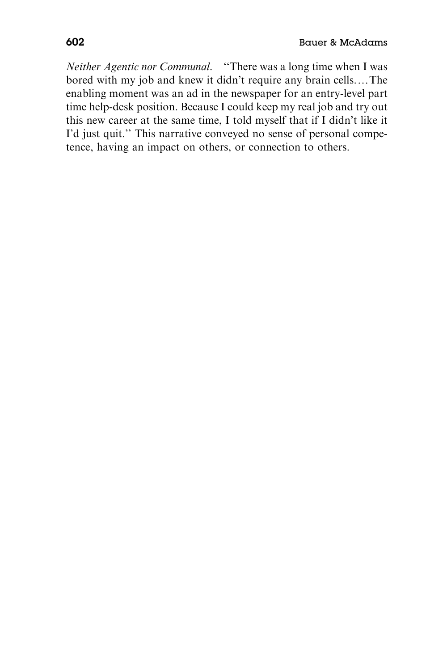Neither Agentic nor Communal. ''There was a long time when I was bored with my job and knew it didn't require any brain cells....The enabling moment was an ad in the newspaper for an entry-level part time help-desk position. Because I could keep my real job and try out this new career at the same time, I told myself that if I didn't like it I'd just quit.'' This narrative conveyed no sense of personal competence, having an impact on others, or connection to others.